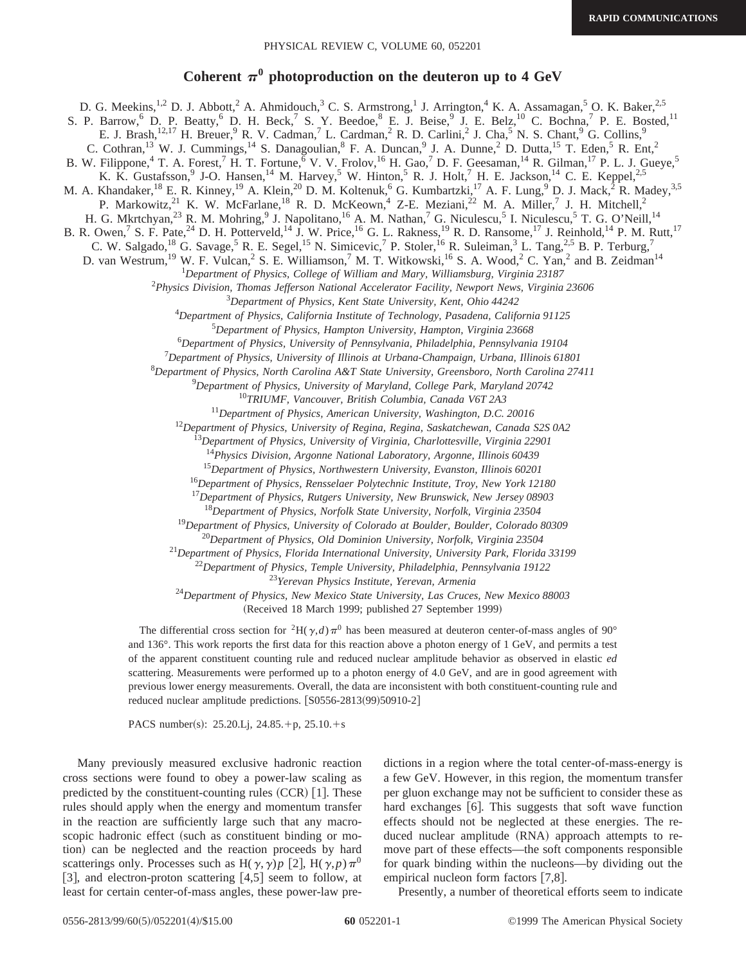## Coherent  $\pi^0$  photoproduction on the deuteron up to 4 GeV

D. G. Meekins,<sup>1,2</sup> D. J. Abbott,<sup>2</sup> A. Ahmidouch,<sup>3</sup> C. S. Armstrong,<sup>1</sup> J. Arrington,<sup>4</sup> K. A. Assamagan,<sup>5</sup> O. K. Baker,<sup>2,5</sup> S. P. Barrow,  $6$  D. P. Beatty,  $6$  D. H. Beck,  $7$  S. Y. Beedoe,  $8$  E. J. Beise,  $9$  J. E. Belz,  $10$  C. Bochna,  $7$  P. E. Bosted,  $11$ E. J. Brash,<sup>12,17</sup> H. Breuer,<sup>9</sup> R. V. Cadman,<sup>7</sup> L. Cardman,<sup>2</sup> R. D. Carlini,<sup>2</sup> J. Cha,<sup>5</sup> N. S. Chant,<sup>9</sup> G. Collins,<sup>9</sup> C. Cothran,<sup>13</sup> W. J. Cummings,<sup>14</sup> S. Danagoulian,<sup>8</sup> F. A. Duncan,<sup>9</sup> J. A. Dunne,<sup>2</sup> D. Dutta,<sup>15</sup> T. Eden,<sup>5</sup> R. Ent,<sup>2</sup> B. W. Filippone,<sup>4</sup> T. A. Forest,<sup>7</sup> H. T. Fortune,<sup> $\bar{6}$ </sup> V. V. Frolov,<sup>16</sup> H. Gao,<sup>7</sup> D. F. Geesaman,<sup>14</sup> R. Gilman,<sup>17</sup> P. L. J. Gueye,<sup>5</sup> K. K. Gustafsson, <sup>9</sup> J-O. Hansen, <sup>14</sup> M. Harvey, <sup>5</sup> W. Hinton, <sup>5</sup> R. J. Holt, <sup>7</sup> H. E. Jackson, <sup>14</sup> C. E. Keppel, <sup>2, 5</sup> M. A. Khandaker,<sup>18</sup> E. R. Kinney,<sup>19</sup> A. Klein,<sup>20</sup> D. M. Koltenuk,<sup>6</sup> G. Kumbartzki,<sup>17</sup> A. F. Lung,<sup>9</sup> D. J. Mack,<sup>2</sup> R. Madey,<sup>3,5</sup> P. Markowitz,<sup>21</sup> K. W. McFarlane,<sup>18</sup> R. D. McKeown,<sup>4</sup> Z-E. Meziani,<sup>22</sup> M. A. Miller,<sup>7</sup> J. H. Mitchell,<sup>2</sup> H. G. Mkrtchyan,<sup>23</sup> R. M. Mohring,<sup>9</sup> J. Napolitano,<sup>16</sup> A. M. Nathan,<sup>7</sup> G. Niculescu,<sup>5</sup> I. Niculescu,<sup>5</sup> T. G. O'Neill,<sup>14</sup> B. R. Owen,<sup>7</sup> S. F. Pate,<sup>24</sup> D. H. Potterveld,<sup>14</sup> J. W. Price,<sup>16</sup> G. L. Rakness,<sup>19</sup> R. D. Ransome,<sup>17</sup> J. Reinhold,<sup>14</sup> P. M. Rutt,<sup>17</sup> C. W. Salgado,<sup>18</sup> G. Savage,<sup>5</sup> R. E. Segel,<sup>15</sup> N. Simicevic,<sup>7</sup> P. Stoler,<sup>16</sup> R. Suleiman,<sup>3</sup> L. Tang,<sup>2,5</sup> B. P. Terburg,<sup>7</sup> D. van Westrum,<sup>19</sup> W. F. Vulcan,<sup>2</sup> S. E. Williamson,<sup>7</sup> M. T. Witkowski,<sup>16</sup> S. A. Wood,<sup>2</sup> C. Yan,<sup>2</sup> and B. Zeidman<sup>14</sup> *Department of Physics, College of William and Mary, Williamsburg, Virginia 23187 Physics Division, Thomas Jefferson National Accelerator Facility, Newport News, Virginia 23606 Department of Physics, Kent State University, Kent, Ohio 44242 Department of Physics, California Institute of Technology, Pasadena, California 91125 Department of Physics, Hampton University, Hampton, Virginia 23668 Department of Physics, University of Pennsylvania, Philadelphia, Pennsylvania 19104 Department of Physics, University of Illinois at Urbana-Champaign, Urbana, Illinois 61801 Department of Physics, North Carolina A&T State University, Greensboro, North Carolina 27411 Department of Physics, University of Maryland, College Park, Maryland 20742 TRIUMF, Vancouver, British Columbia, Canada V6T 2A3 Department of Physics, American University, Washington, D.C. 20016 Department of Physics, University of Regina, Regina, Saskatchewan, Canada S2S 0A2 Department of Physics, University of Virginia, Charlottesville, Virginia 22901 Physics Division, Argonne National Laboratory, Argonne, Illinois 60439 Department of Physics, Northwestern University, Evanston, Illinois 60201 Department of Physics, Rensselaer Polytechnic Institute, Troy, New York 12180 Department of Physics, Rutgers University, New Brunswick, New Jersey 08903 Department of Physics, Norfolk State University, Norfolk, Virginia 23504 Department of Physics, University of Colorado at Boulder, Boulder, Colorado 80309 Department of Physics, Old Dominion University, Norfolk, Virginia 23504 Department of Physics, Florida International University, University Park, Florida 33199 Department of Physics, Temple University, Philadelphia, Pennsylvania 19122 Yerevan Physics Institute, Yerevan, Armenia Department of Physics, New Mexico State University, Las Cruces, New Mexico 88003* (Received 18 March 1999; published 27 September 1999)

> The differential cross section for <sup>2</sup>H( $\gamma$ *,d*) $\pi$ <sup>0</sup> has been measured at deuteron center-of-mass angles of 90° and 136°. This work reports the first data for this reaction above a photon energy of 1 GeV, and permits a test of the apparent constituent counting rule and reduced nuclear amplitude behavior as observed in elastic *ed* scattering. Measurements were performed up to a photon energy of 4.0 GeV, and are in good agreement with previous lower energy measurements. Overall, the data are inconsistent with both constituent-counting rule and

PACS number(s): 25.20.Lj, 24.85.+p,  $25.10.+s$ 

reduced nuclear amplitude predictions.  $[**S**0556-2813(99)50910-2]$ 

Many previously measured exclusive hadronic reaction cross sections were found to obey a power-law scaling as predicted by the constituent-counting rules  $(CCR)$  [1]. These rules should apply when the energy and momentum transfer in the reaction are sufficiently large such that any macroscopic hadronic effect (such as constituent binding or motion) can be neglected and the reaction proceeds by hard scatterings only. Processes such as H( $\gamma$ , $\gamma$ )*p* [2], H( $\gamma$ , $p$ ) $\pi$ <sup>0</sup> [3], and electron-proton scattering  $[4,5]$  seem to follow, at least for certain center-of-mass angles, these power-law predictions in a region where the total center-of-mass-energy is a few GeV. However, in this region, the momentum transfer per gluon exchange may not be sufficient to consider these as hard exchanges  $[6]$ . This suggests that soft wave function effects should not be neglected at these energies. The reduced nuclear amplitude (RNA) approach attempts to remove part of these effects—the soft components responsible for quark binding within the nucleons—by dividing out the empirical nucleon form factors  $[7,8]$ .

Presently, a number of theoretical efforts seem to indicate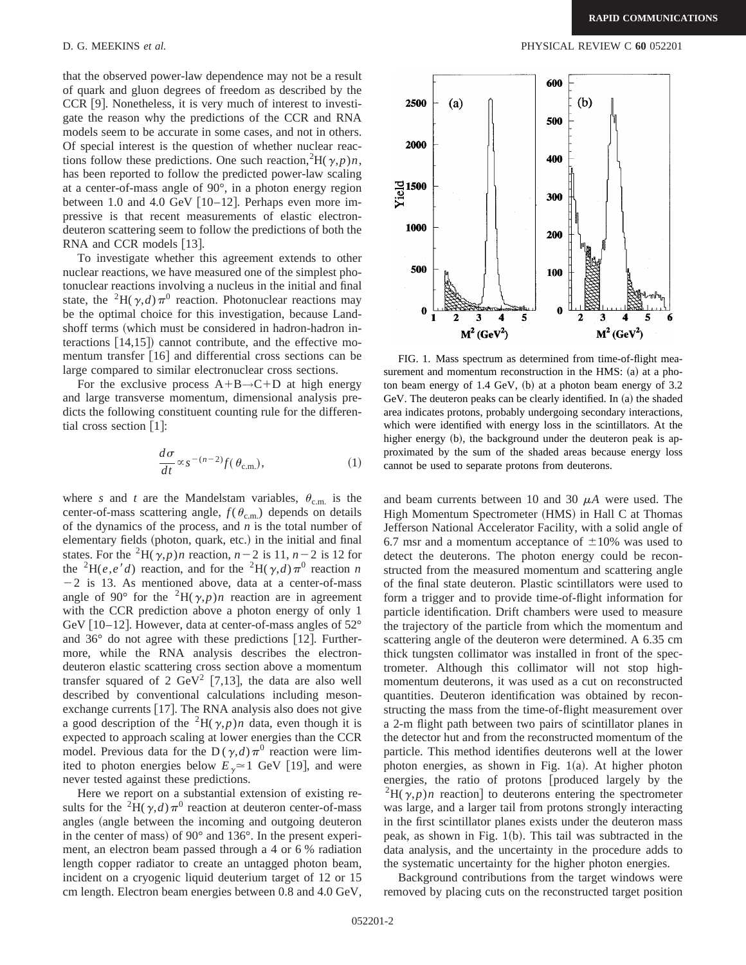that the observed power-law dependence may not be a result of quark and gluon degrees of freedom as described by the  $CCR [9]$ . Nonetheless, it is very much of interest to investigate the reason why the predictions of the CCR and RNA models seem to be accurate in some cases, and not in others. Of special interest is the question of whether nuclear reactions follow these predictions. One such reaction,  ${}^{2}H(\gamma,p)n$ , has been reported to follow the predicted power-law scaling at a center-of-mass angle of 90°, in a photon energy region between 1.0 and 4.0 GeV  $[10-12]$ . Perhaps even more impressive is that recent measurements of elastic electrondeuteron scattering seem to follow the predictions of both the RNA and CCR models  $[13]$ .

To investigate whether this agreement extends to other nuclear reactions, we have measured one of the simplest photonuclear reactions involving a nucleus in the initial and final state, the <sup>2</sup>H( $\gamma$ ,*d*) $\pi$ <sup>0</sup> reaction. Photonuclear reactions may be the optimal choice for this investigation, because Landshoff terms (which must be considered in hadron-hadron interactions  $[14,15]$  cannot contribute, and the effective momentum transfer  $[16]$  and differential cross sections can be large compared to similar electronuclear cross sections.

For the exclusive process  $A+B\rightarrow C+D$  at high energy and large transverse momentum, dimensional analysis predicts the following constituent counting rule for the differential cross section  $[1]$ :

$$
\frac{d\sigma}{dt} \propto s^{-(n-2)} f(\theta_{\text{c.m.}}),
$$
 (1)

where *s* and *t* are the Mandelstam variables,  $\theta_{\text{c.m.}}$  is the center-of-mass scattering angle,  $f(\theta_{\rm c.m.})$  depends on details of the dynamics of the process, and *n* is the total number of elementary fields (photon, quark, etc.) in the initial and final states. For the <sup>2</sup>H( $\gamma$ *,p*)*n* reaction, *n* – 2 is 11, *n* – 2 is 12 for the <sup>2</sup>H(*e*,*e'd*) reaction, and for the <sup>2</sup>H( $\gamma$ ,*d*) $\pi$ <sup>0</sup> reaction *n*  $-2$  is 13. As mentioned above, data at a center-of-mass angle of 90° for the <sup>2</sup>H( $\gamma$ *,p*)*n* reaction are in agreement with the CCR prediction above a photon energy of only 1 GeV [10–12]. However, data at center-of-mass angles of  $52^{\circ}$ and  $36^{\circ}$  do not agree with these predictions [12]. Furthermore, while the RNA analysis describes the electrondeuteron elastic scattering cross section above a momentum transfer squared of 2  $\text{GeV}^2$  [7,13], the data are also well described by conventional calculations including mesonexchange currents  $[17]$ . The RNA analysis also does not give a good description of the <sup>2</sup>H( $\gamma$ , *p*)*n* data, even though it is expected to approach scaling at lower energies than the CCR model. Previous data for the D ( $\gamma$ ,*d*) $\pi$ <sup>0</sup> reaction were limited to photon energies below  $E_{\gamma} \approx 1$  GeV [19], and were never tested against these predictions.

Here we report on a substantial extension of existing results for the <sup>2</sup>H( $\gamma$ ,*d*) $\pi$ <sup>0</sup> reaction at deuteron center-of-mass angles (angle between the incoming and outgoing deuteron in the center of mass) of  $90^{\circ}$  and  $136^{\circ}$ . In the present experiment, an electron beam passed through a 4 or 6 % radiation length copper radiator to create an untagged photon beam, incident on a cryogenic liquid deuterium target of 12 or 15 cm length. Electron beam energies between 0.8 and 4.0 GeV,



FIG. 1. Mass spectrum as determined from time-of-flight measurement and momentum reconstruction in the  $HMS: (a)$  at a photon beam energy of  $1.4 \text{ GeV}$ , (b) at a photon beam energy of  $3.2$ GeV. The deuteron peaks can be clearly identified. In  $(a)$  the shaded area indicates protons, probably undergoing secondary interactions, which were identified with energy loss in the scintillators. At the higher energy  $(b)$ , the background under the deuteron peak is approximated by the sum of the shaded areas because energy loss cannot be used to separate protons from deuterons.

and beam currents between 10 and 30  $\mu$ A were used. The High Momentum Spectrometer (HMS) in Hall C at Thomas Jefferson National Accelerator Facility, with a solid angle of 6.7 msr and a momentum acceptance of  $\pm 10\%$  was used to detect the deuterons. The photon energy could be reconstructed from the measured momentum and scattering angle of the final state deuteron. Plastic scintillators were used to form a trigger and to provide time-of-flight information for particle identification. Drift chambers were used to measure the trajectory of the particle from which the momentum and scattering angle of the deuteron were determined. A 6.35 cm thick tungsten collimator was installed in front of the spectrometer. Although this collimator will not stop highmomentum deuterons, it was used as a cut on reconstructed quantities. Deuteron identification was obtained by reconstructing the mass from the time-of-flight measurement over a 2-m flight path between two pairs of scintillator planes in the detector hut and from the reconstructed momentum of the particle. This method identifies deuterons well at the lower photon energies, as shown in Fig.  $1(a)$ . At higher photon energies, the ratio of protons [produced largely by the  $^{2}H(\gamma,p)n$  reaction to deuterons entering the spectrometer was large, and a larger tail from protons strongly interacting in the first scintillator planes exists under the deuteron mass peak, as shown in Fig.  $1(b)$ . This tail was subtracted in the data analysis, and the uncertainty in the procedure adds to the systematic uncertainty for the higher photon energies.

Background contributions from the target windows were removed by placing cuts on the reconstructed target position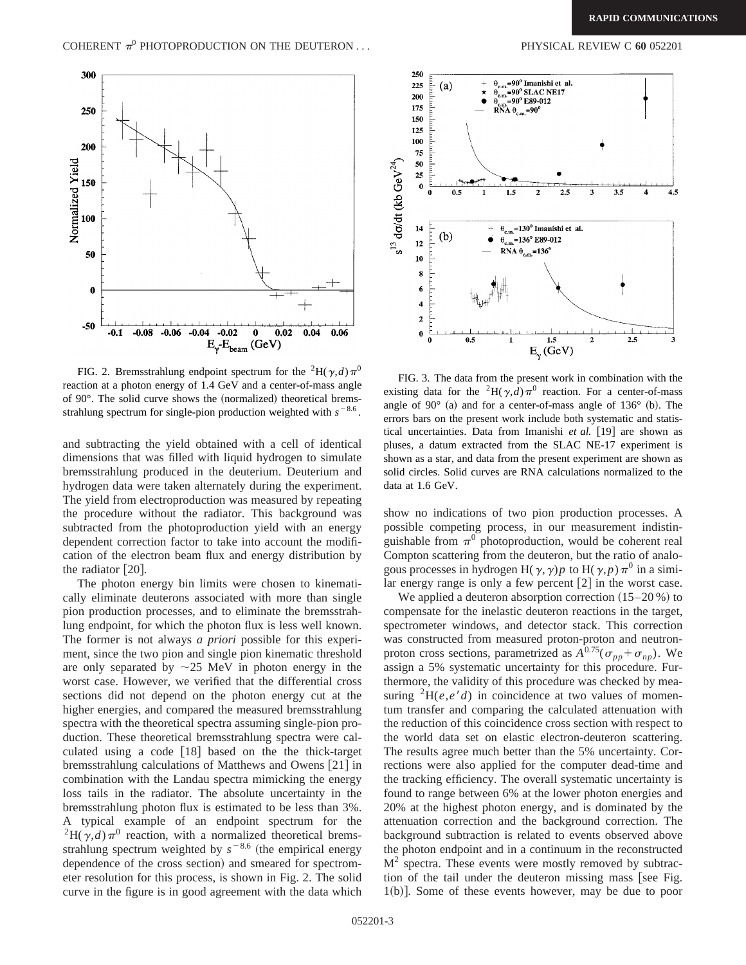

FIG. 2. Bremsstrahlung endpoint spectrum for the <sup>2</sup>H( $\gamma$ ,*d*) $\pi$ <sup>0</sup> reaction at a photon energy of 1.4 GeV and a center-of-mass angle of  $90^\circ$ . The solid curve shows the (normalized) theoretical bremsstrahlung spectrum for single-pion production weighted with  $s^{-8.6}$ .

and subtracting the yield obtained with a cell of identical dimensions that was filled with liquid hydrogen to simulate bremsstrahlung produced in the deuterium. Deuterium and hydrogen data were taken alternately during the experiment. The yield from electroproduction was measured by repeating the procedure without the radiator. This background was subtracted from the photoproduction yield with an energy dependent correction factor to take into account the modification of the electron beam flux and energy distribution by the radiator  $[20]$ .

The photon energy bin limits were chosen to kinematically eliminate deuterons associated with more than single pion production processes, and to eliminate the bremsstrahlung endpoint, for which the photon flux is less well known. The former is not always *a priori* possible for this experiment, since the two pion and single pion kinematic threshold are only separated by  $\sim$ 25 MeV in photon energy in the worst case. However, we verified that the differential cross sections did not depend on the photon energy cut at the higher energies, and compared the measured bremsstrahlung spectra with the theoretical spectra assuming single-pion production. These theoretical bremsstrahlung spectra were calculated using a code  $[18]$  based on the the thick-target bremsstrahlung calculations of Matthews and Owens  $[21]$  in combination with the Landau spectra mimicking the energy loss tails in the radiator. The absolute uncertainty in the bremsstrahlung photon flux is estimated to be less than 3%. A typical example of an endpoint spectrum for the <sup>2</sup>H( $\gamma$ ,*d*) $\pi$ <sup>0</sup> reaction, with a normalized theoretical bremsstrahlung spectrum weighted by  $s^{-8.6}$  (the empirical energy dependence of the cross section) and smeared for spectrometer resolution for this process, is shown in Fig. 2. The solid curve in the figure is in good agreement with the data which



FIG. 3. The data from the present work in combination with the existing data for the <sup>2</sup>H( $\gamma$ ,*d*) $\pi$ <sup>0</sup> reaction. For a center-of-mass angle of 90 $^{\circ}$  (a) and for a center-of-mass angle of 136 $^{\circ}$  (b). The errors bars on the present work include both systematic and statistical uncertainties. Data from Imanishi *et al.* [19] are shown as pluses, a datum extracted from the SLAC NE-17 experiment is shown as a star, and data from the present experiment are shown as solid circles. Solid curves are RNA calculations normalized to the data at 1.6 GeV.

show no indications of two pion production processes. A possible competing process, in our measurement indistinguishable from  $\pi^0$  photoproduction, would be coherent real Compton scattering from the deuteron, but the ratio of analogous processes in hydrogen H( $\gamma$ ,  $\gamma$ )*p* to H( $\gamma$ , *p*) $\pi$ <sup>0</sup> in a similar energy range is only a few percent  $[2]$  in the worst case.

We applied a deuteron absorption correction  $(15–20 \%)$  to compensate for the inelastic deuteron reactions in the target, spectrometer windows, and detector stack. This correction was constructed from measured proton-proton and neutronproton cross sections, parametrized as  $A^{0.75}(\sigma_{pp}+\sigma_{np})$ . We assign a 5% systematic uncertainty for this procedure. Furthermore, the validity of this procedure was checked by measuring  ${}^{2}H(e,e'd)$  in coincidence at two values of momentum transfer and comparing the calculated attenuation with the reduction of this coincidence cross section with respect to the world data set on elastic electron-deuteron scattering. The results agree much better than the 5% uncertainty. Corrections were also applied for the computer dead-time and the tracking efficiency. The overall systematic uncertainty is found to range between 6% at the lower photon energies and 20% at the highest photon energy, and is dominated by the attenuation correction and the background correction. The background subtraction is related to events observed above the photon endpoint and in a continuum in the reconstructed  $M<sup>2</sup>$  spectra. These events were mostly removed by subtraction of the tail under the deuteron missing mass [see Fig.  $1(b)$ . Some of these events however, may be due to poor